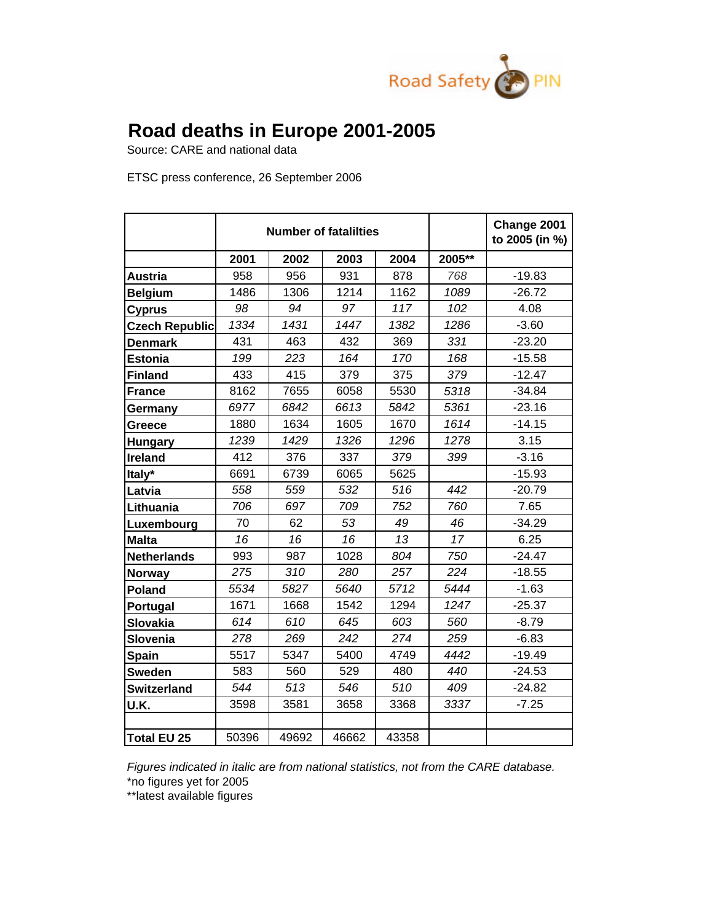

## **Road deaths in Europe 2001-2005**

Source: CARE and national data

ETSC press conference, 26 September 2006

|                       | <b>Number of fatalilties</b> |       |       |       |        | Change 2001<br>to 2005 (in %) |
|-----------------------|------------------------------|-------|-------|-------|--------|-------------------------------|
|                       | 2001                         | 2002  | 2003  | 2004  | 2005** |                               |
| <b>Austria</b>        | 958                          | 956   | 931   | 878   | 768    | $-19.83$                      |
| <b>Belgium</b>        | 1486                         | 1306  | 1214  | 1162  | 1089   | $-26.72$                      |
| <b>Cyprus</b>         | 98                           | 94    | 97    | 117   | 102    | 4.08                          |
| <b>Czech Republic</b> | 1334                         | 1431  | 1447  | 1382  | 1286   | $-3.60$                       |
| <b>Denmark</b>        | 431                          | 463   | 432   | 369   | 331    | $-23.20$                      |
| <b>Estonia</b>        | 199                          | 223   | 164   | 170   | 168    | $-15.58$                      |
| <b>Finland</b>        | 433                          | 415   | 379   | 375   | 379    | $-12.47$                      |
| <b>France</b>         | 8162                         | 7655  | 6058  | 5530  | 5318   | $-34.84$                      |
| Germany               | 6977                         | 6842  | 6613  | 5842  | 5361   | $-23.16$                      |
| Greece                | 1880                         | 1634  | 1605  | 1670  | 1614   | $-14.15$                      |
| <b>Hungary</b>        | 1239                         | 1429  | 1326  | 1296  | 1278   | 3.15                          |
| <b>Ireland</b>        | 412                          | 376   | 337   | 379   | 399    | $-3.16$                       |
| Italy*                | 6691                         | 6739  | 6065  | 5625  |        | $-15.93$                      |
| Latvia                | 558                          | 559   | 532   | 516   | 442    | $-20.79$                      |
| Lithuania             | 706                          | 697   | 709   | 752   | 760    | 7.65                          |
| Luxembourg            | 70                           | 62    | 53    | 49    | 46     | $-34.29$                      |
| <b>Malta</b>          | 16                           | 16    | 16    | 13    | 17     | 6.25                          |
| <b>Netherlands</b>    | 993                          | 987   | 1028  | 804   | 750    | $-24.47$                      |
| <b>Norway</b>         | 275                          | 310   | 280   | 257   | 224    | $-18.55$                      |
| <b>Poland</b>         | 5534                         | 5827  | 5640  | 5712  | 5444   | $-1.63$                       |
| Portugal              | 1671                         | 1668  | 1542  | 1294  | 1247   | $-25.37$                      |
| <b>Slovakia</b>       | 614                          | 610   | 645   | 603   | 560    | $-8.79$                       |
| Slovenia              | 278                          | 269   | 242   | 274   | 259    | $-6.83$                       |
| <b>Spain</b>          | 5517                         | 5347  | 5400  | 4749  | 4442   | $-19.49$                      |
| <b>Sweden</b>         | 583                          | 560   | 529   | 480   | 440    | $-24.53$                      |
| <b>Switzerland</b>    | 544                          | 513   | 546   | 510   | 409    | $-24.82$                      |
| U.K.                  | 3598                         | 3581  | 3658  | 3368  | 3337   | $-7.25$                       |
|                       |                              |       |       |       |        |                               |
| Total EU 25           | 50396                        | 49692 | 46662 | 43358 |        |                               |

*Figures indicated in italic are from national statistics, not from the CARE database.* 

\*no figures yet for 2005

\*\*latest available figures